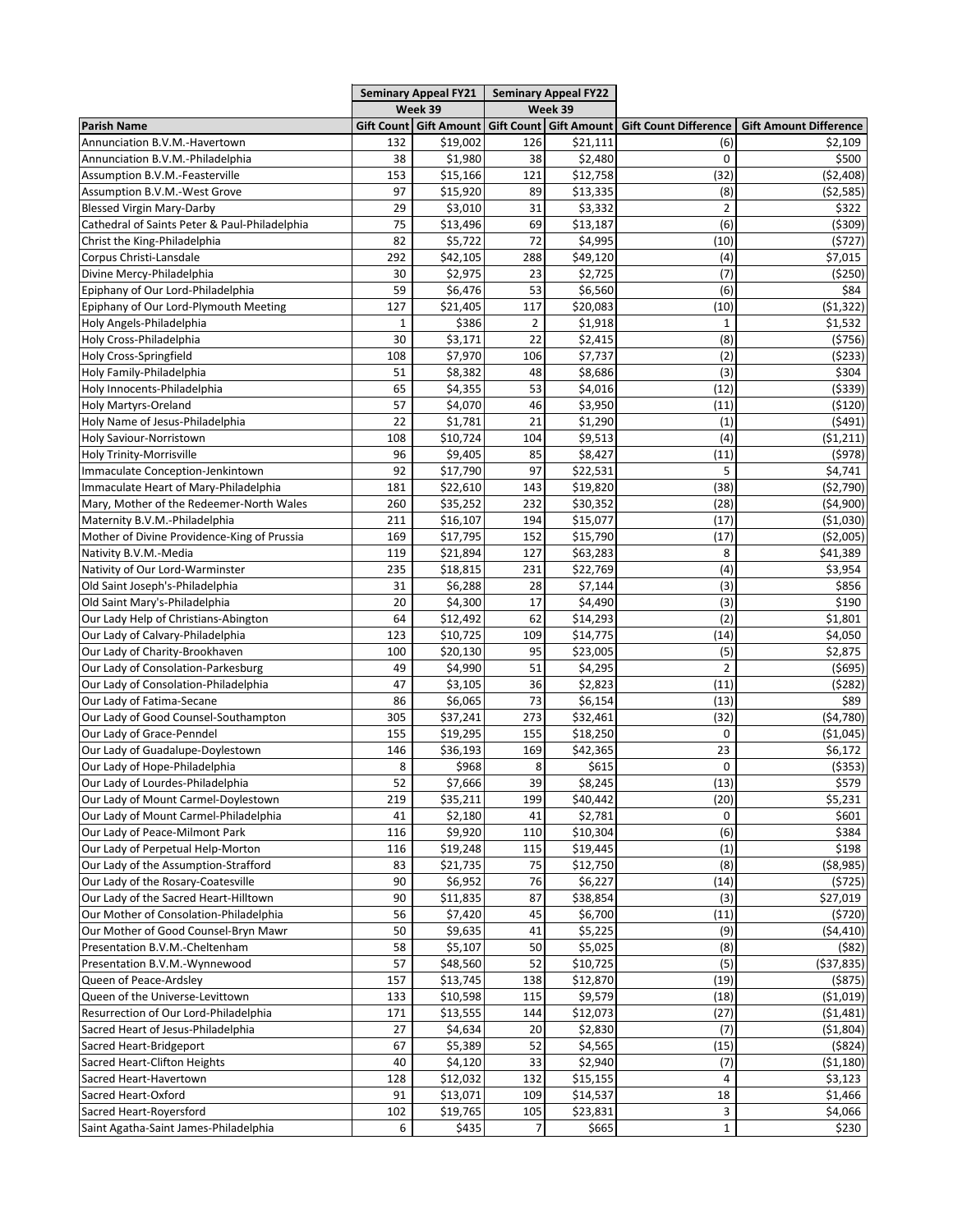|                                               | <b>Seminary Appeal FY21</b><br>Week 39 |          | <b>Seminary Appeal FY22</b><br>Week 39 |                                                     |                              |                               |
|-----------------------------------------------|----------------------------------------|----------|----------------------------------------|-----------------------------------------------------|------------------------------|-------------------------------|
|                                               |                                        |          |                                        |                                                     |                              |                               |
| <b>Parish Name</b>                            |                                        |          |                                        | Gift Count   Gift Amount   Gift Count   Gift Amount | <b>Gift Count Difference</b> | <b>Gift Amount Difference</b> |
| Annunciation B.V.M.-Havertown                 | 132                                    | \$19,002 | 126                                    | \$21,111                                            | (6)                          | \$2,109                       |
| Annunciation B.V.M.-Philadelphia              | 38                                     | \$1,980  | 38                                     | \$2,480                                             | 0                            | \$500                         |
| Assumption B.V.M.-Feasterville                | 153                                    | \$15,166 | 121                                    | \$12,758                                            | (32)                         | (52, 408)                     |
| Assumption B.V.M.-West Grove                  | 97                                     | \$15,920 | 89                                     | \$13,335                                            | (8)                          | ( \$2,585)                    |
| <b>Blessed Virgin Mary-Darby</b>              | 29                                     | \$3,010  | 31                                     | \$3,332                                             | $\overline{2}$               | \$322                         |
| Cathedral of Saints Peter & Paul-Philadelphia | 75                                     | \$13,496 | 69                                     | \$13,187                                            | (6)                          | (\$309)                       |
| Christ the King-Philadelphia                  | 82                                     | \$5,722  | 72                                     | \$4,995                                             | (10)                         | (5727)                        |
| Corpus Christi-Lansdale                       | 292                                    | \$42,105 | 288                                    | \$49,120                                            | (4)                          | \$7,015                       |
| Divine Mercy-Philadelphia                     | 30                                     | \$2,975  | 23                                     | \$2,725                                             | (7)                          | ( \$250)                      |
| Epiphany of Our Lord-Philadelphia             | 59                                     | \$6,476  | 53                                     | \$6,560                                             | (6)                          | \$84                          |
| Epiphany of Our Lord-Plymouth Meeting         | 127                                    | \$21,405 | 117                                    | \$20,083                                            | (10)                         | (51, 322)                     |
| Holy Angels-Philadelphia                      | $\mathbf{1}$                           | \$386    | $\overline{2}$                         | \$1,918                                             | $\mathbf{1}$                 | \$1,532                       |
| Holy Cross-Philadelphia                       | 30                                     | \$3,171  | 22                                     | \$2,415                                             | (8)                          | ( \$756)                      |
| Holy Cross-Springfield                        | 108                                    | \$7,970  | 106                                    | \$7,737                                             | (2)                          | (5233)                        |
| Holy Family-Philadelphia                      | 51                                     | \$8,382  | 48                                     | \$8,686                                             | (3)                          | \$304                         |
| Holy Innocents-Philadelphia                   | 65                                     | \$4,355  | 53                                     | \$4,016                                             | (12)                         | ( \$339)                      |
| <b>Holy Martyrs-Oreland</b>                   | 57                                     | \$4,070  | 46                                     | \$3,950                                             | (11)                         | (5120)                        |
| Holy Name of Jesus-Philadelphia               | 22                                     | \$1,781  | 21                                     | \$1,290                                             | (1)                          | (5491)                        |
| Holy Saviour-Norristown                       | 108                                    | \$10,724 | 104                                    | \$9,513                                             | (4)                          | (51, 211)                     |
| Holy Trinity-Morrisville                      | 96                                     | \$9,405  | 85                                     | \$8,427                                             | (11)                         | (5978)                        |
| Immaculate Conception-Jenkintown              | 92                                     | \$17,790 | 97                                     | \$22,531                                            | 5                            | \$4,741                       |
| Immaculate Heart of Mary-Philadelphia         | 181                                    | \$22,610 | 143                                    | \$19,820                                            | (38)                         | (\$2,790)                     |
| Mary, Mother of the Redeemer-North Wales      | 260                                    | \$35,252 | 232                                    | \$30,352                                            | (28)                         | (54,900)                      |
| Maternity B.V.M.-Philadelphia                 | 211                                    | \$16,107 | 194                                    | \$15,077                                            | (17)                         | (51,030)                      |
| Mother of Divine Providence-King of Prussia   | 169                                    | \$17,795 | 152                                    | \$15,790                                            | (17)                         | ( \$2,005)                    |
| Nativity B.V.M.-Media                         | 119                                    | \$21,894 | 127                                    | \$63,283                                            | 8                            | \$41,389                      |
| Nativity of Our Lord-Warminster               | 235                                    | \$18,815 | 231                                    | \$22,769                                            | (4)                          | \$3,954                       |
| Old Saint Joseph's-Philadelphia               | 31                                     | \$6,288  | 28                                     | \$7,144                                             | (3)                          | \$856                         |
| Old Saint Mary's-Philadelphia                 | 20                                     | \$4,300  | 17                                     | \$4,490                                             | (3)                          | \$190                         |
| Our Lady Help of Christians-Abington          | 64                                     | \$12,492 | 62                                     | \$14,293                                            | (2)                          | \$1,801                       |
| Our Lady of Calvary-Philadelphia              | 123                                    | \$10,725 | 109                                    | \$14,775                                            | (14)                         | \$4,050                       |
| Our Lady of Charity-Brookhaven                | 100                                    | \$20,130 | 95                                     | \$23,005                                            | (5)                          | \$2,875                       |
| Our Lady of Consolation-Parkesburg            | 49                                     | \$4,990  | 51                                     | \$4,295                                             | 2                            | ( \$695)                      |
| Our Lady of Consolation-Philadelphia          | 47                                     | \$3,105  | 36                                     | \$2,823                                             | (11)                         | (5282)                        |
| Our Lady of Fatima-Secane                     | 86                                     | \$6,065  | 73                                     | \$6,154                                             | (13)                         | \$89                          |
| Our Lady of Good Counsel-Southampton          | 305                                    | \$37,241 | 273                                    | \$32,461                                            | (32)                         | (54, 780)                     |
| Our Lady of Grace-Penndel                     | 155                                    | \$19,295 | 155                                    | \$18,250                                            | 0                            | ( \$1,045)                    |
| Our Lady of Guadalupe-Doylestown              | 146                                    | \$36,193 | 169                                    | \$42,365                                            | 23                           | \$6,172                       |
| Our Lady of Hope-Philadelphia                 | 8                                      | \$968    | 8                                      | \$615                                               | 0                            | ( \$353)                      |
| Our Lady of Lourdes-Philadelphia              | 52                                     | \$7,666  | 39                                     | \$8,245                                             | (13)                         | \$579                         |
| Our Lady of Mount Carmel-Doylestown           | 219                                    | \$35,211 | 199                                    | \$40,442                                            | (20)                         | \$5,231                       |
| Our Lady of Mount Carmel-Philadelphia         | 41                                     | \$2,180  | 41                                     | \$2,781                                             | 0                            | \$601                         |
| Our Lady of Peace-Milmont Park                | 116                                    | \$9,920  | 110                                    | \$10,304                                            | (6)                          | \$384                         |
| Our Lady of Perpetual Help-Morton             | 116                                    | \$19,248 | 115                                    | \$19,445                                            | (1)                          | \$198                         |
| Our Lady of the Assumption-Strafford          | 83                                     | \$21,735 | 75                                     | \$12,750                                            | (8)                          | ( \$8,985)                    |
| Our Lady of the Rosary-Coatesville            | 90                                     | \$6,952  | 76                                     | \$6,227                                             | (14)                         | (5725)                        |
| Our Lady of the Sacred Heart-Hilltown         | 90                                     | \$11,835 | 87                                     | \$38,854                                            | (3)                          | \$27,019                      |
| Our Mother of Consolation-Philadelphia        | 56                                     | \$7,420  | 45                                     | \$6,700                                             | (11)                         | (5720)                        |
| Our Mother of Good Counsel-Bryn Mawr          | 50                                     | \$9,635  | 41                                     | \$5,225                                             | (9)                          | (54, 410)                     |
| Presentation B.V.M.-Cheltenham                | 58                                     | \$5,107  | 50                                     | \$5,025                                             | (8)                          | (582)                         |
| Presentation B.V.M.-Wynnewood                 | 57                                     | \$48,560 | 52                                     | \$10,725                                            | (5)                          | ( \$37, 835)                  |
| Queen of Peace-Ardsley                        | 157                                    | \$13,745 | 138                                    | \$12,870                                            | (19)                         | ( \$875)                      |
| Queen of the Universe-Levittown               | 133                                    | \$10,598 | 115                                    | \$9,579                                             | (18)                         | ( \$1,019)                    |
| Resurrection of Our Lord-Philadelphia         | 171                                    | \$13,555 | 144                                    | \$12,073                                            | (27)                         | (\$1,481)                     |
| Sacred Heart of Jesus-Philadelphia            | 27                                     | \$4,634  | 20                                     | \$2,830                                             | (7)                          | ( \$1,804)                    |
| Sacred Heart-Bridgeport                       | 67                                     | \$5,389  | 52                                     | \$4,565                                             | (15)                         | (\$824)                       |
| Sacred Heart-Clifton Heights                  | 40                                     | \$4,120  | 33                                     | \$2,940                                             | (7)                          | (\$1,180)                     |
| Sacred Heart-Havertown                        | 128                                    | \$12,032 | 132                                    | \$15,155                                            | 4                            | \$3,123                       |
| Sacred Heart-Oxford                           | 91                                     | \$13,071 | 109                                    | \$14,537                                            | 18                           | \$1,466                       |
| Sacred Heart-Royersford                       | 102                                    | \$19,765 | 105                                    | \$23,831                                            | 3                            | \$4,066                       |
| Saint Agatha-Saint James-Philadelphia         | 6                                      | \$435    | $\overline{7}$                         | \$665                                               | $\mathbf{1}$                 | \$230                         |
|                                               |                                        |          |                                        |                                                     |                              |                               |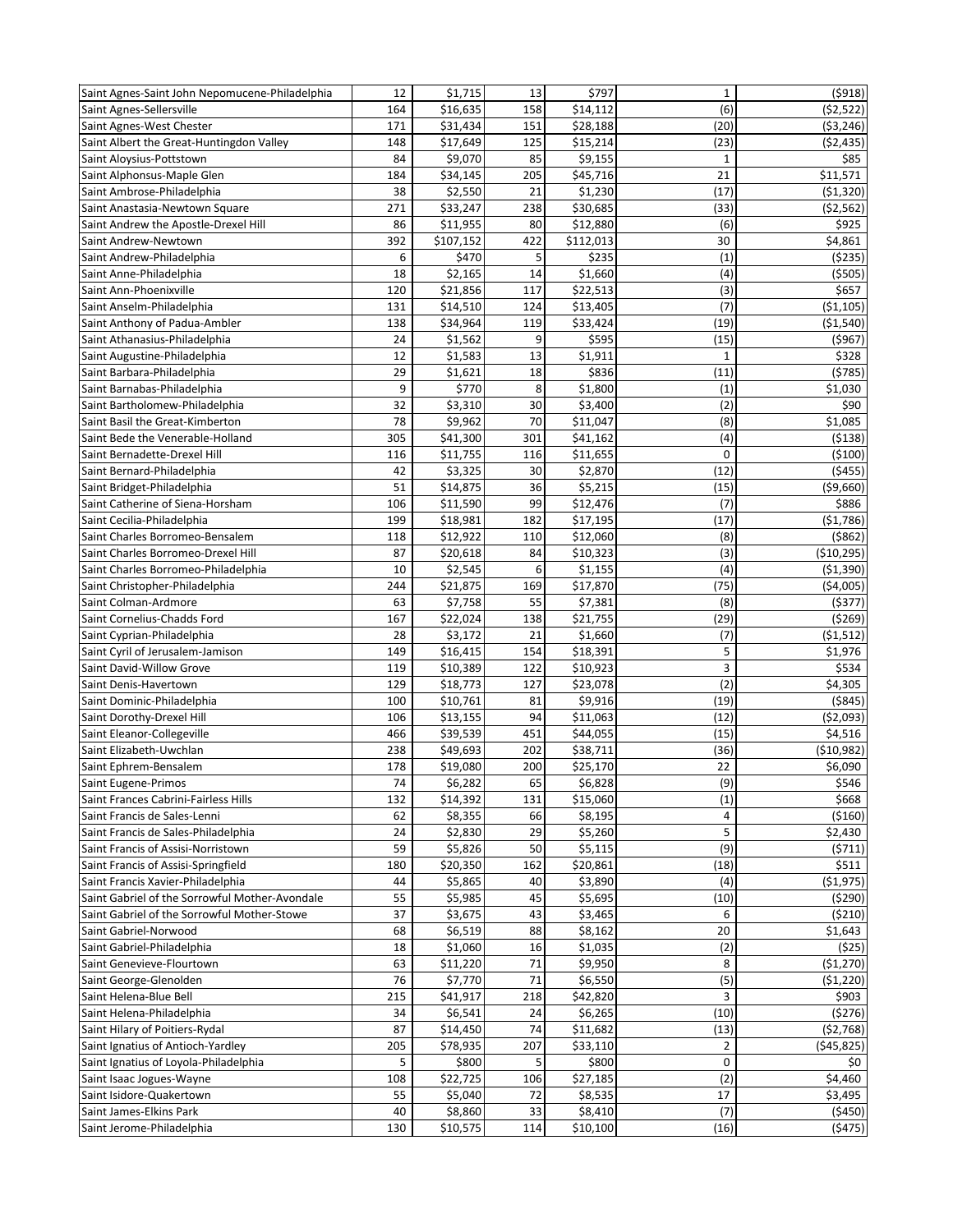| Saint Agnes-Saint John Nepomucene-Philadelphia          | 12         | \$1,715              | 13       | \$797                | $\mathbf 1$  | ( \$918)              |
|---------------------------------------------------------|------------|----------------------|----------|----------------------|--------------|-----------------------|
| Saint Agnes-Sellersville                                | 164        | \$16,635             | 158      | \$14,112             | (6)          | (52, 522)             |
| Saint Agnes-West Chester                                | 171        | \$31,434             | 151      | \$28,188             | (20)         | ( \$3, 246)           |
| Saint Albert the Great-Huntingdon Valley                | 148        | \$17,649             | 125      | \$15,214             | (23)         | (52, 435)             |
| Saint Aloysius-Pottstown                                | 84         | \$9,070              | 85       | \$9,155              | 1            | \$85                  |
| Saint Alphonsus-Maple Glen                              | 184        | \$34,145             | 205      | \$45,716             | 21           | \$11,571              |
| Saint Ambrose-Philadelphia                              | 38         | \$2,550              | 21       | \$1,230              | (17)         | ( \$1,320)            |
| Saint Anastasia-Newtown Square                          | 271        | \$33,247             | 238      | \$30,685             | (33)         | (52, 562)             |
| Saint Andrew the Apostle-Drexel Hill                    | 86         | \$11,955             | 80       | \$12,880             | (6)          | \$925                 |
| Saint Andrew-Newtown                                    | 392        | \$107,152            | 422      | \$112,013            | 30           | \$4,861               |
| Saint Andrew-Philadelphia                               | 6          | \$470                | 5        | \$235                | (1)          | ( \$235)              |
| Saint Anne-Philadelphia                                 | 18         | \$2,165              | 14       | \$1,660              | (4)          | ( \$505)              |
| Saint Ann-Phoenixville                                  | 120        | \$21,856             | 117      | \$22,513             | (3)          | \$657                 |
| Saint Anselm-Philadelphia                               | 131        | \$14,510             | 124      | \$13,405             | (7)          | (51, 105)             |
| Saint Anthony of Padua-Ambler                           | 138        | \$34,964             | 119      | \$33,424             | (19)         | (\$1,540)             |
| Saint Athanasius-Philadelphia                           | 24         | \$1,562              | 9        | \$595                | (15)         | ( \$967)              |
| Saint Augustine-Philadelphia                            | 12         | \$1,583              | 13       | \$1,911              | $\mathbf{1}$ | \$328                 |
| Saint Barbara-Philadelphia                              | 29         | \$1,621              | 18       | \$836                | (11)         | (5785)                |
| Saint Barnabas-Philadelphia                             | 9          | \$770                | 8        | \$1,800              | (1)          | \$1,030               |
| Saint Bartholomew-Philadelphia                          | 32         | \$3,310              | 30       | \$3,400              | (2)          | \$90                  |
| Saint Basil the Great-Kimberton                         | 78         | \$9,962              | 70       | \$11,047             | (8)          | \$1,085               |
| Saint Bede the Venerable-Holland                        | 305        | \$41,300             | 301      | \$41,162             | (4)          | ( \$138)              |
| Saint Bernadette-Drexel Hill                            | 116        | \$11,755             | 116      | \$11,655             | 0            | ( \$100)              |
| Saint Bernard-Philadelphia                              | 42         | \$3,325              | 30       | \$2,870              | (12)         | (5455)                |
| Saint Bridget-Philadelphia                              | 51         | \$14,875             | 36       | \$5,215              | (15)         | ( \$9,660)            |
| Saint Catherine of Siena-Horsham                        | 106        | \$11,590             | 99       | \$12,476             | (7)          | \$886                 |
| Saint Cecilia-Philadelphia                              | 199        | \$18,981             | 182      | \$17,195             | (17)         | ( \$1,786)            |
| Saint Charles Borromeo-Bensalem                         | 118        | \$12,922             | 110      | \$12,060             | (8)          | ( \$862)              |
| Saint Charles Borromeo-Drexel Hill                      | 87         | \$20,618             | 84       | \$10,323             | (3)          | ( \$10, 295)          |
| Saint Charles Borromeo-Philadelphia                     | 10         | \$2,545              | 6        | \$1,155              | (4)          | ( \$1,390)            |
| Saint Christopher-Philadelphia                          | 244        | \$21,875             | 169      | \$17,870             | (75)         | ( \$4,005)            |
| Saint Colman-Ardmore                                    | 63         | \$7,758              | 55       | \$7,381              | (8)          | (5377)                |
| Saint Cornelius-Chadds Ford                             | 167        | \$22,024             | 138      | \$21,755             | (29)         | (5269)                |
| Saint Cyprian-Philadelphia                              | 28         | \$3,172              | 21       | \$1,660              | (7)          | ( \$1,512)            |
| Saint Cyril of Jerusalem-Jamison                        | 149        | \$16,415             | 154      | \$18,391             | 5            | \$1,976               |
| Saint David-Willow Grove                                | 119        | \$10,389             | 122      | \$10,923             | 3<br>(2)     | \$534<br>\$4,305      |
| Saint Denis-Havertown                                   | 129        | \$18,773             | 127      | \$23,078             |              |                       |
| Saint Dominic-Philadelphia                              | 100<br>106 | \$10,761             | 81<br>94 | \$9,916              | (19)<br>(12) | ( \$845)              |
| Saint Dorothy-Drexel Hill<br>Saint Eleanor-Collegeville | 466        | \$13,155<br>\$39,539 | 451      | \$11,063<br>\$44,055 | (15)         | ( \$2,093)<br>\$4,516 |
| Saint Elizabeth-Uwchlan                                 | 238        | \$49,693             | 202      | \$38,711             | (36)         | ( \$10, 982)          |
| Saint Ephrem-Bensalem                                   | 178        | \$19,080             | 200      | \$25,170             | 22           | \$6,090               |
| Saint Eugene-Primos                                     | 74         | \$6,282              | 65       | \$6,828              | (9)          | \$546                 |
| Saint Frances Cabrini-Fairless Hills                    | 132        | \$14,392             | 131      | \$15,060             | (1)          | \$668                 |
| Saint Francis de Sales-Lenni                            | 62         | \$8,355              | 66       | \$8,195              | 4            | ( \$160)              |
| Saint Francis de Sales-Philadelphia                     | 24         | \$2,830              | 29       | \$5,260              | 5            | \$2,430               |
| Saint Francis of Assisi-Norristown                      | 59         | \$5,826              | 50       | \$5,115              | (9)          | (5711)                |
| Saint Francis of Assisi-Springfield                     | 180        | \$20,350             | 162      | \$20,861             | (18)         | \$511                 |
| Saint Francis Xavier-Philadelphia                       | 44         | \$5,865              | 40       | \$3,890              | (4)          | (51, 975)             |
| Saint Gabriel of the Sorrowful Mother-Avondale          | 55         | \$5,985              | 45       | \$5,695              | (10)         | (5290)                |
| Saint Gabriel of the Sorrowful Mother-Stowe             | 37         | \$3,675              | 43       | \$3,465              | 6            | (5210)                |
| Saint Gabriel-Norwood                                   | 68         | \$6,519              | 88       | \$8,162              | 20           | \$1,643               |
| Saint Gabriel-Philadelphia                              | 18         | \$1,060              | 16       | \$1,035              | (2)          | (525)                 |
| Saint Genevieve-Flourtown                               | 63         | \$11,220             | 71       | \$9,950              | 8            | ( \$1,270)            |
| Saint George-Glenolden                                  | 76         | \$7,770              | 71       | \$6,550              | (5)          | (51, 220)             |
| Saint Helena-Blue Bell                                  | 215        | \$41,917             | 218      | \$42,820             | 3            | \$903                 |
| Saint Helena-Philadelphia                               | 34         | \$6,541              | 24       | \$6,265              | (10)         | (5276)                |
| Saint Hilary of Poitiers-Rydal                          | 87         | \$14,450             | 74       | \$11,682             | (13)         | (52, 768)             |
| Saint Ignatius of Antioch-Yardley                       | 205        | \$78,935             | 207      | \$33,110             | 2            | (545, 825)            |
| Saint Ignatius of Loyola-Philadelphia                   | 5          | \$800                | 5        | \$800                | 0            | \$0                   |
| Saint Isaac Jogues-Wayne                                | 108        | \$22,725             | 106      | \$27,185             | (2)          | \$4,460               |
| Saint Isidore-Quakertown                                | 55         | \$5,040              | 72       | \$8,535              | 17           | \$3,495               |
| Saint James-Elkins Park                                 | 40         | \$8,860              | 33       | \$8,410              | (7)          | (5450)                |
| Saint Jerome-Philadelphia                               | 130        | \$10,575             | 114      | \$10,100             | (16)         | (5475)                |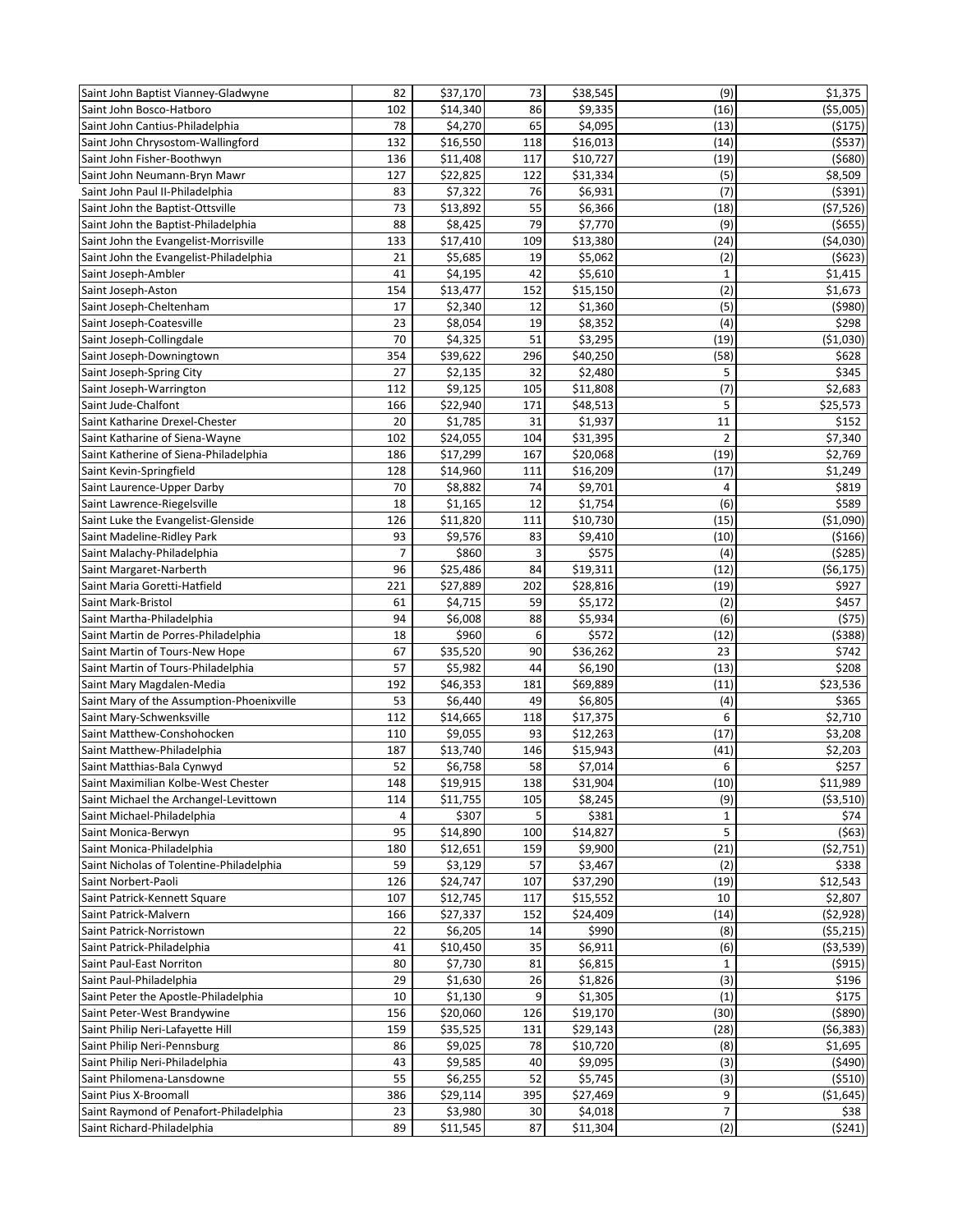| Saint John Baptist Vianney-Gladwyne       | 82             | \$37,170 | 73  | \$38,545 | (9)            | \$1,375    |
|-------------------------------------------|----------------|----------|-----|----------|----------------|------------|
| Saint John Bosco-Hatboro                  | 102            | \$14,340 | 86  | \$9,335  | (16)           | ( \$5,005) |
| Saint John Cantius-Philadelphia           | 78             | \$4,270  | 65  | \$4,095  | (13)           | (5175)     |
| Saint John Chrysostom-Wallingford         | 132            | \$16,550 | 118 | \$16,013 | (14)           | (5537)     |
| Saint John Fisher-Boothwyn                | 136            | \$11,408 | 117 | \$10,727 | (19)           | (5680)     |
| Saint John Neumann-Bryn Mawr              | 127            | \$22,825 | 122 | \$31,334 | (5)            | \$8,509    |
| Saint John Paul II-Philadelphia           | 83             | \$7,322  | 76  | \$6,931  | (7)            | ( \$391)   |
| Saint John the Baptist-Ottsville          | 73             | \$13,892 | 55  | \$6,366  | (18)           | (57, 526)  |
| Saint John the Baptist-Philadelphia       | 88             | \$8,425  | 79  | \$7,770  | (9)            | ( \$655)   |
| Saint John the Evangelist-Morrisville     | 133            | \$17,410 | 109 | \$13,380 | (24)           | ( \$4,030) |
| Saint John the Evangelist-Philadelphia    | 21             | \$5,685  | 19  | \$5,062  | (2)            | (5623)     |
| Saint Joseph-Ambler                       | 41             | \$4,195  | 42  | \$5,610  | $\mathbf{1}$   | \$1,415    |
| Saint Joseph-Aston                        | 154            | \$13,477 | 152 | \$15,150 | (2)            | \$1,673    |
| Saint Joseph-Cheltenham                   | 17             | \$2,340  | 12  | \$1,360  | (5)            | (5980)     |
| Saint Joseph-Coatesville                  | 23             | \$8,054  | 19  | \$8,352  | (4)            | \$298      |
| Saint Joseph-Collingdale                  | 70             | \$4,325  | 51  | \$3,295  | (19)           | ( \$1,030) |
| Saint Joseph-Downingtown                  | 354            | \$39,622 | 296 | \$40,250 | (58)           | \$628      |
| Saint Joseph-Spring City                  | 27             | \$2,135  | 32  | \$2,480  | 5              | \$345      |
| Saint Joseph-Warrington                   | 112            | \$9,125  | 105 | \$11,808 | (7)            | \$2,683    |
| Saint Jude-Chalfont                       | 166            | \$22,940 | 171 | \$48,513 | 5              | \$25,573   |
| Saint Katharine Drexel-Chester            | 20             | \$1,785  | 31  | \$1,937  | 11             | \$152      |
| Saint Katharine of Siena-Wayne            | 102            | \$24,055 | 104 | \$31,395 | $\overline{2}$ | \$7,340    |
| Saint Katherine of Siena-Philadelphia     | 186            | \$17,299 | 167 | \$20,068 | (19)           | \$2,769    |
| Saint Kevin-Springfield                   | 128            | \$14,960 | 111 | \$16,209 | (17)           | \$1,249    |
| Saint Laurence-Upper Darby                | 70             | \$8,882  | 74  | \$9,701  | 4              | \$819      |
| Saint Lawrence-Riegelsville               | 18             | \$1,165  | 12  | \$1,754  | (6)            | \$589      |
| Saint Luke the Evangelist-Glenside        | 126            | \$11,820 | 111 | \$10,730 | (15)           | ( \$1,090) |
| Saint Madeline-Ridley Park                | 93             | \$9,576  | 83  | \$9,410  | (10)           | ( \$166)   |
| Saint Malachy-Philadelphia                | $\overline{7}$ | \$860    | 3   | \$575    | (4)            | (5285)     |
| Saint Margaret-Narberth                   | 96             | \$25,486 | 84  | \$19,311 | (12)           | (\$6,175)  |
| Saint Maria Goretti-Hatfield              | 221            | \$27,889 | 202 | \$28,816 | (19)           | \$927      |
| Saint Mark-Bristol                        | 61             | \$4,715  | 59  | \$5,172  | (2)            | \$457      |
| Saint Martha-Philadelphia                 | 94             | \$6,008  | 88  | \$5,934  | (6)            | (575)      |
| Saint Martin de Porres-Philadelphia       | 18             | \$960    | 6   | \$572    | (12)           | ( \$388)   |
| Saint Martin of Tours-New Hope            | 67             | \$35,520 | 90  | \$36,262 | 23             | \$742      |
| Saint Martin of Tours-Philadelphia        | 57             | \$5,982  | 44  | \$6,190  | (13)           | \$208      |
| Saint Mary Magdalen-Media                 | 192            | \$46,353 | 181 | \$69,889 | (11)           | \$23,536   |
| Saint Mary of the Assumption-Phoenixville | 53             | \$6,440  | 49  | \$6,805  | (4)            | \$365      |
| Saint Mary-Schwenksville                  | 112            | \$14,665 | 118 | \$17,375 | 6              | \$2,710    |
| Saint Matthew-Conshohocken                | 110            | \$9,055  | 93  | \$12,263 | (17)           | \$3,208    |
| Saint Matthew-Philadelphia                | 187            | \$13,740 | 146 | \$15,943 | (41)           | \$2,203    |
| Saint Matthias-Bala Cynwyd                | 52             | \$6,758  | 58  | \$7,014  | 6              | \$257      |
| Saint Maximilian Kolbe-West Chester       | 148            | 519,915  | 138 | \$31,904 | (10)           | 511,989    |
| Saint Michael the Archangel-Levittown     | 114            | \$11,755 | 105 | \$8,245  | (9)            | ( \$3,510) |
| Saint Michael-Philadelphia                | 4              | \$307    | 5   | \$381    | $\mathbf{1}$   | \$74       |
| Saint Monica-Berwyn                       | 95             | \$14,890 | 100 | \$14,827 | 5              | (563)      |
| Saint Monica-Philadelphia                 | 180            | \$12,651 | 159 | \$9,900  | (21)           | (52, 751)  |
| Saint Nicholas of Tolentine-Philadelphia  | 59             | \$3,129  | 57  | \$3,467  | (2)            | \$338      |
| Saint Norbert-Paoli                       | 126            | \$24,747 | 107 | \$37,290 | (19)           | \$12,543   |
| Saint Patrick-Kennett Square              | 107            | \$12,745 | 117 | \$15,552 | 10             | \$2,807    |
| Saint Patrick-Malvern                     | 166            | \$27,337 | 152 | \$24,409 | (14)           | (52, 928)  |
| Saint Patrick-Norristown                  | 22             | \$6,205  | 14  | \$990    | (8)            | (55, 215)  |
| Saint Patrick-Philadelphia                | 41             | \$10,450 | 35  | \$6,911  | (6)            | ( \$3,539) |
| Saint Paul-East Norriton                  | 80             | \$7,730  | 81  | \$6,815  | $\mathbf{1}$   | (5915)     |
| Saint Paul-Philadelphia                   | 29             | \$1,630  | 26  | \$1,826  | (3)            | \$196      |
| Saint Peter the Apostle-Philadelphia      | 10             | \$1,130  | 9   | \$1,305  | (1)            | \$175      |
| Saint Peter-West Brandywine               | 156            | \$20,060 | 126 | \$19,170 | (30)           | ( \$890)   |
| Saint Philip Neri-Lafayette Hill          | 159            | \$35,525 | 131 | \$29,143 | (28)           | (56, 383)  |
| Saint Philip Neri-Pennsburg               | 86             | \$9,025  | 78  | \$10,720 | (8)            | \$1,695    |
| Saint Philip Neri-Philadelphia            | 43             | \$9,585  | 40  | \$9,095  | (3)            | (5490)     |
| Saint Philomena-Lansdowne                 | 55             | \$6,255  | 52  | \$5,745  | (3)            | ( \$510)   |
| Saint Pius X-Broomall                     | 386            | \$29,114 | 395 | \$27,469 | 9              | ( \$1,645) |
| Saint Raymond of Penafort-Philadelphia    | 23             | \$3,980  | 30  | \$4,018  | $\overline{7}$ | \$38       |
| Saint Richard-Philadelphia                | 89             | \$11,545 | 87  | \$11,304 | (2)            | (5241)     |